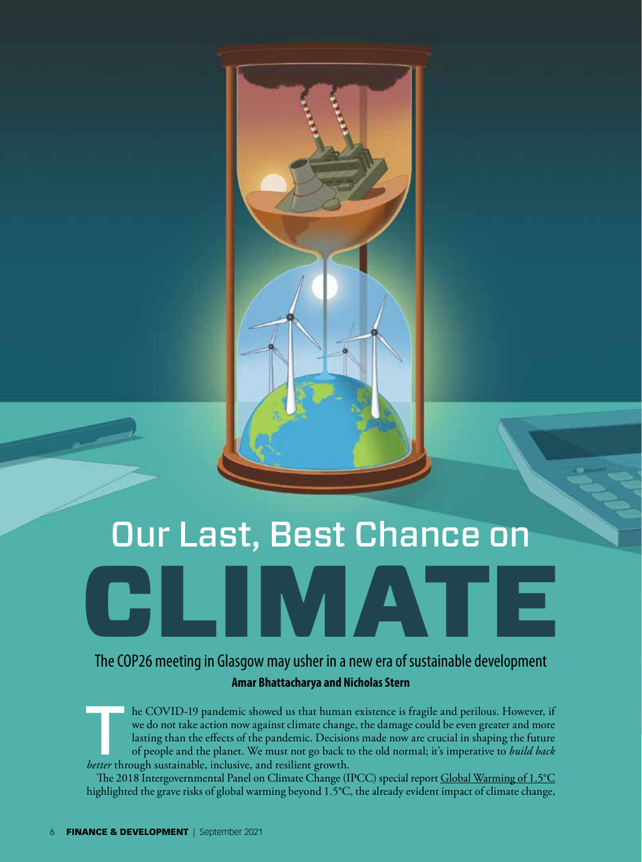# Our Last, Best Chance on

CHIMATE

## The COP26 meeting in Glasgow may usher in a new era of sustainable development **Amar Bhattacharya and Nicholas Stern**

he COVID-19 pandemic showed us that human existence is fragile and perilous. However, if we do not take action now against climate change, the damage could be even greater and more lasting than the effects of the pandemic. Decisions made now are crucial in shaping the future of people and the planet. We must not go back to the old normal; it's imperative to *build back better* through sustainable, inclusive, and resilient growth.

The 2018 Intergovernmental Panel on Climate Change (IPCC) special report Global Warming of 1.5°C highlighted the grave risks of global warming beyond 1.5°C, the already evident impact of climate change,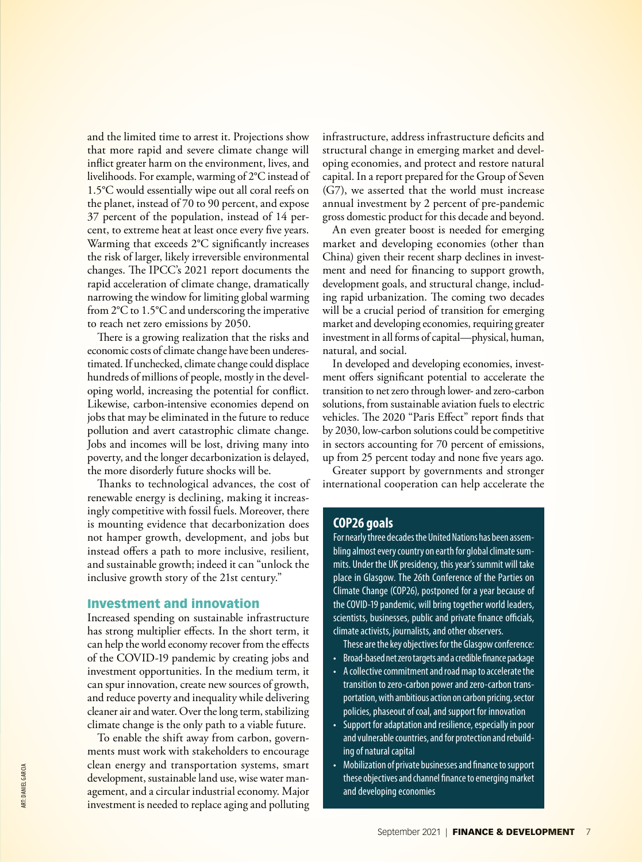and the limited time to arrest it. Projections show that more rapid and severe climate change will inflict greater harm on the environment, lives, and livelihoods. For example, warming of 2°C instead of 1.5°C would essentially wipe out all coral reefs on the planet, instead of 70 to 90 percent, and expose 37 percent of the population, instead of 14 percent, to extreme heat at least once every five years. Warming that exceeds 2°C significantly increases the risk of larger, likely irreversible environmental changes. The IPCC's 2021 report documents the rapid acceleration of climate change, dramatically narrowing the window for limiting global warming from 2°C to 1.5°C and underscoring the imperative to reach net zero emissions by 2050.

There is a growing realization that the risks and economic costs of climate change have been underestimated. If unchecked, climate change could displace hundreds of millions of people, mostly in the developing world, increasing the potential for conflict. Likewise, carbon-intensive economies depend on jobs that may be eliminated in the future to reduce pollution and avert catastrophic climate change. Jobs and incomes will be lost, driving many into poverty, and the longer decarbonization is delayed, the more disorderly future shocks will be.

Thanks to technological advances, the cost of renewable energy is declining, making it increasingly competitive with fossil fuels. Moreover, there is mounting evidence that decarbonization does not hamper growth, development, and jobs but instead offers a path to more inclusive, resilient, and sustainable growth; indeed it can "unlock the inclusive growth story of the 21st century."

## Investment and innovation

Increased spending on sustainable infrastructure has strong multiplier effects. In the short term, it can help the world economy recover from the effects of the COVID-19 pandemic by creating jobs and investment opportunities. In the medium term, it can spur innovation, create new sources of growth, and reduce poverty and inequality while delivering cleaner air and water. Over the long term, stabilizing climate change is the only path to a viable future.

To enable the shift away from carbon, governments must work with stakeholders to encourage clean energy and transportation systems, smart development, sustainable land use, wise water management, and a circular industrial economy. Major investment is needed to replace aging and polluting

infrastructure, address infrastructure deficits and structural change in emerging market and developing economies, and protect and restore natural capital. In a report prepared for the Group of Seven (G7), we asserted that the world must increase annual investment by 2 percent of pre-pandemic gross domestic product for this decade and beyond.

An even greater boost is needed for emerging market and developing economies (other than China) given their recent sharp declines in investment and need for financing to support growth, development goals, and structural change, including rapid urbanization. The coming two decades will be a crucial period of transition for emerging market and developing economies, requiring greater investment in all forms of capital—physical, human, natural, and social.

In developed and developing economies, investment offers significant potential to accelerate the transition to net zero through lower- and zero-carbon solutions, from sustainable aviation fuels to electric vehicles. The 2020 "Paris Effect" report finds that by 2030, low-carbon solutions could be competitive in sectors accounting for 70 percent of emissions, up from 25 percent today and none five years ago.

Greater support by governments and stronger international cooperation can help accelerate the

## **COP26 goals**

For nearly three decades the United Nations has been assembling almost every country on earth for global climate summits. Under the UK presidency, this year's summit will take place in Glasgow. The 26th Conference of the Parties on Climate Change (COP26), postponed for a year because of the COVID-19 pandemic, will bring together world leaders, scientists, businesses, public and private finance officials, climate activists, journalists, and other observers.

- These are the key objectives for the Glasgow conference:
- Broad-based net zero targets and a credible finance package
- A collective commitment and road map to accelerate the transition to zero-carbon power and zero-carbon transportation, with ambitious action on carbon pricing, sector policies, phaseout of coal, and support for innovation
- Support for adaptation and resilience, especially in poor and vulnerable countries, and for protection and rebuilding of natural capital
- Mobilization of private businesses and finance to support these objectives and channel finance to emerging market and developing economies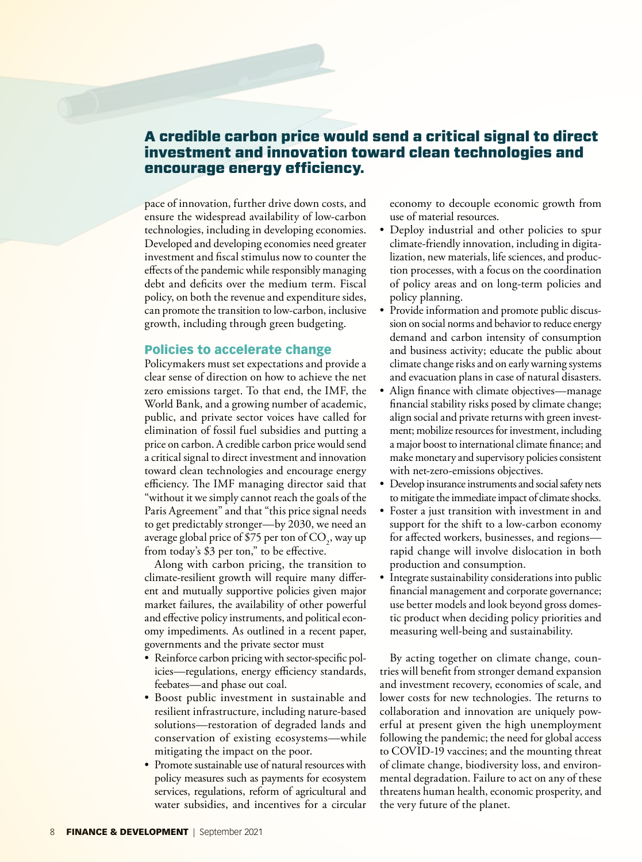## A credible carbon price would send a critical signal to direct investment and innovation toward clean technologies and encourage energy efficiency.

pace of innovation, further drive down costs, and ensure the widespread availability of low-carbon technologies, including in developing economies. Developed and developing economies need greater investment and fiscal stimulus now to counter the effects of the pandemic while responsibly managing debt and deficits over the medium term. Fiscal policy, on both the revenue and expenditure sides, can promote the transition to low-carbon, inclusive growth, including through green budgeting.

#### Policies to accelerate change

Policymakers must set expectations and provide a clear sense of direction on how to achieve the net zero emissions target. To that end, the IMF, the World Bank, and a growing number of academic, public, and private sector voices have called for elimination of fossil fuel subsidies and putting a price on carbon. A credible carbon price would send a critical signal to direct investment and innovation toward clean technologies and encourage energy efficiency. The IMF managing director said that "without it we simply cannot reach the goals of the Paris Agreement" and that "this price signal needs to get predictably stronger—by 2030, we need an average global price of \$75 per ton of  $\mathrm{CO}_2^2$ , way up from today's \$3 per ton," to be effective.

Along with carbon pricing, the transition to climate-resilient growth will require many different and mutually supportive policies given major market failures, the availability of other powerful and effective policy instruments, and political economy impediments. As outlined in a recent paper, governments and the private sector must

- Reinforce carbon pricing with sector-specific policies—regulations, energy efficiency standards, feebates—and phase out coal.
- Boost public investment in sustainable and resilient infrastructure, including nature-based solutions—restoration of degraded lands and conservation of existing ecosystems—while mitigating the impact on the poor.
- Promote sustainable use of natural resources with policy measures such as payments for ecosystem services, regulations, reform of agricultural and water subsidies, and incentives for a circular

economy to decouple economic growth from use of material resources.

- Deploy industrial and other policies to spur climate-friendly innovation, including in digitalization, new materials, life sciences, and production processes, with a focus on the coordination of policy areas and on long-term policies and policy planning.
- Provide information and promote public discussion on social norms and behavior to reduce energy demand and carbon intensity of consumption and business activity; educate the public about climate change risks and on early warning systems and evacuation plans in case of natural disasters.
- Align finance with climate objectives—manage financial stability risks posed by climate change; align social and private returns with green investment; mobilize resources for investment, including a major boost to international climate finance; and make monetary and supervisory policies consistent with net-zero-emissions objectives.
- Develop insurance instruments and social safety nets to mitigate the immediate impact of climate shocks.
- Foster a just transition with investment in and support for the shift to a low-carbon economy for affected workers, businesses, and regions rapid change will involve dislocation in both production and consumption.
- Integrate sustainability considerations into public financial management and corporate governance; use better models and look beyond gross domestic product when deciding policy priorities and measuring well-being and sustainability.

By acting together on climate change, countries will benefit from stronger demand expansion and investment recovery, economies of scale, and lower costs for new technologies. The returns to collaboration and innovation are uniquely powerful at present given the high unemployment following the pandemic; the need for global access to COVID-19 vaccines; and the mounting threat of climate change, biodiversity loss, and environmental degradation. Failure to act on any of these threatens human health, economic prosperity, and the very future of the planet.